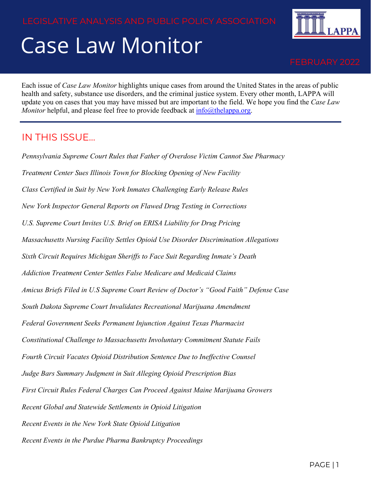# Case Law Monitor



Each issue of *Case Law Monitor* highlights unique cases from around the United States in the areas of public health and safety, substance use disorders, and the criminal justice system. Every other month, LAPPA will update you on cases that you may have missed but are important to the field. We hope you find the *Case Law Monitor* helpful, and please feel free to provide feedback at [info@thelappa.org.](mailto:info@thelappa.org)

#### IN THIS ISSUE…

*Pennsylvania Supreme Court Rules that Father of Overdose Victim Cannot Sue Pharmacy Treatment Center Sues Illinois Town for Blocking Opening of New Facility Class Certified in Suit by New York Inmates Challenging Early Release Rules New York Inspector General Reports on Flawed Drug Testing in Corrections U.S. Supreme Court Invites U.S. Brief on ERISA Liability for Drug Pricing Massachusetts Nursing Facility Settles Opioid Use Disorder Discrimination Allegations Sixth Circuit Requires Michigan Sheriffs to Face Suit Regarding Inmate's Death Addiction Treatment Center Settles False Medicare and Medicaid Claims Amicus Briefs Filed in U.S Supreme Court Review of Doctor's "Good Faith" Defense Case South Dakota Supreme Court Invalidates Recreational Marijuana Amendment Federal Government Seeks Permanent Injunction Against Texas Pharmacist Constitutional Challenge to Massachusetts Involuntary Commitment Statute Fails Fourth Circuit Vacates Opioid Distribution Sentence Due to Ineffective Counsel Judge Bars Summary Judgment in Suit Alleging Opioid Prescription Bias First Circuit Rules Federal Charges Can Proceed Against Maine Marijuana Growers Recent Global and Statewide Settlements in Opioid Litigation Recent Events in the New York State Opioid Litigation Recent Events in the Purdue Pharma Bankruptcy Proceedings*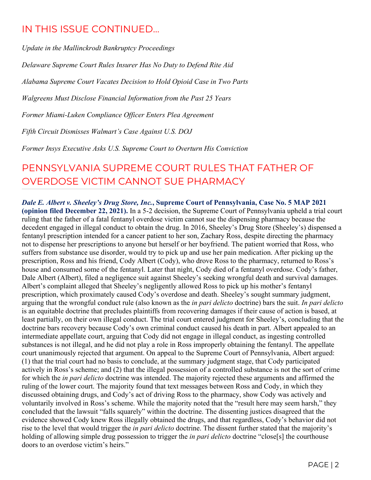#### IN THIS ISSUE CONTINUED…

*Update in the Mallinckrodt Bankruptcy Proceedings*

*Delaware Supreme Court Rules Insurer Has No Duty to Defend Rite Aid*

*Alabama Supreme Court Vacates Decision to Hold Opioid Case in Two Parts*

*Walgreens Must Disclose Financial Information from the Past 25 Years*

*Former Miami-Luken Compliance Officer Enters Plea Agreement*

*Fifth Circuit Dismisses Walmart's Case Against U.S. DOJ*

*Former Insys Executive Asks U.S. Supreme Court to Overturn His Conviction*

# PENNSYLVANIA SUPREME COURT RULES THAT FATHER OF OVERDOSE VICTIM CANNOT SUE PHARMACY

*Dale E. Albert v. Sheeley's Drug Store, Inc.***, Supreme Court of Pennsylvania, Case No. 5 MAP 2021 (opinion filed December 22, 2021).** In a 5-2 decision, the Supreme Court of Pennsylvania upheld a trial court ruling that the father of a fatal fentanyl overdose victim cannot sue the dispensing pharmacy because the decedent engaged in illegal conduct to obtain the drug. In 2016, Sheeley's Drug Store (Sheeley's) dispensed a fentanyl prescription intended for a cancer patient to her son, Zachary Ross, despite directing the pharmacy not to dispense her prescriptions to anyone but herself or her boyfriend. The patient worried that Ross, who suffers from substance use disorder, would try to pick up and use her pain medication. After picking up the prescription, Ross and his friend, Cody Albert (Cody), who drove Ross to the pharmacy, returned to Ross's house and consumed some of the fentanyl. Later that night, Cody died of a fentanyl overdose. Cody's father, Dale Albert (Albert), filed a negligence suit against Sheeley's seeking wrongful death and survival damages. Albert's complaint alleged that Sheeley's negligently allowed Ross to pick up his mother's fentanyl prescription, which proximately caused Cody's overdose and death. Sheeley's sought summary judgment, arguing that the wrongful conduct rule (also known as the *in pari delicto* doctrine) bars the suit. *In pari delicto* is an equitable doctrine that precludes plaintiffs from recovering damages if their cause of action is based, at least partially, on their own illegal conduct. The trial court entered judgment for Sheeley's, concluding that the doctrine bars recovery because Cody's own criminal conduct caused his death in part. Albert appealed to an intermediate appellate court, arguing that Cody did not engage in illegal conduct, as ingesting controlled substances is not illegal, and he did not play a role in Ross improperly obtaining the fentanyl. The appellate court unanimously rejected that argument. On appeal to the Supreme Court of Pennsylvania, Albert argued: (1) that the trial court had no basis to conclude, at the summary judgment stage, that Cody participated actively in Ross's scheme; and (2) that the illegal possession of a controlled substance is not the sort of crime for which the *in pari delicto* doctrine was intended. The majority rejected these arguments and affirmed the ruling of the lower court. The majority found that text messages between Ross and Cody, in which they discussed obtaining drugs, and Cody's act of driving Ross to the pharmacy, show Cody was actively and voluntarily involved in Ross's scheme. While the majority noted that the "result here may seem harsh," they concluded that the lawsuit "falls squarely" within the doctrine. The dissenting justices disagreed that the evidence showed Cody knew Ross illegally obtained the drugs, and that regardless, Cody's behavior did not rise to the level that would trigger the *in pari delicto* doctrine. The dissent further stated that the majority's holding of allowing simple drug possession to trigger the *in pari delicto* doctrine "close[s] the courthouse doors to an overdose victim's heirs."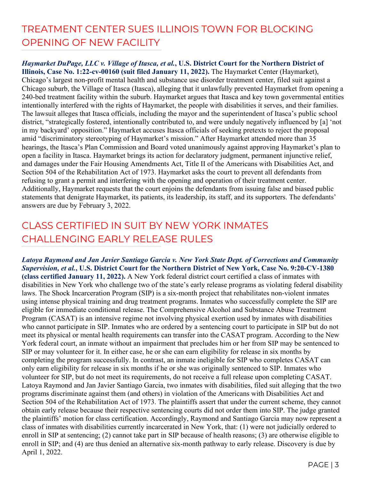#### TREATMENT CENTER SUES ILLINOIS TOWN FOR BLOCKING OPENING OF NEW FACILITY

*Haymarket DuPage, LLC v. Village of Itasca, et al.***, U.S. District Court for the Northern District of Illinois, Case No. 1:22-cv-00160 (suit filed January 11, 2022).** The Haymarket Center (Haymarket), Chicago's largest non-profit mental health and substance use disorder treatment center, filed suit against a Chicago suburb, the Village of Itasca (Itasca), alleging that it unlawfully prevented Haymarket from opening a 240-bed treatment facility within the suburb. Haymarket argues that Itasca and key town governmental entities intentionally interfered with the rights of Haymarket, the people with disabilities it serves, and their families. The lawsuit alleges that Itasca officials, including the mayor and the superintendent of Itasca's public school district, "strategically fostered, intentionally contributed to, and were unduly negatively influenced by [a] 'not in my backyard' opposition." Haymarket accuses Itasca officials of seeking pretexts to reject the proposal amid "discriminatory stereotyping of Haymarket's mission." After Haymarket attended more than 35 hearings, the Itasca's Plan Commission and Board voted unanimously against approving Haymarket's plan to open a facility in Itasca. Haymarket brings its action for declaratory judgment, permanent injunctive relief, and damages under the Fair Housing Amendments Act, Title II of the Americans with Disabilities Act, and Section 504 of the Rehabilitation Act of 1973. Haymarket asks the court to prevent all defendants from refusing to grant a permit and interfering with the opening and operation of their treatment center. Additionally, Haymarket requests that the court enjoins the defendants from issuing false and biased public statements that denigrate Haymarket, its patients, its leadership, its staff, and its supporters. The defendants' answers are due by February 3, 2022.

### CLASS CERTIFIED IN SUIT BY NEW YORK INMATES CHALLENGING EARLY RELEASE RULES

*Latoya Raymond and Jan Javier Santiago Garcia v. New York State Dept. of Corrections and Community Supervision, et al.***, U.S. District Court for the Northern District of New York, Case No. 9:20-CV-1380 (class certified January 11, 2022).** A New York federal district court certified a class of inmates with disabilities in New York who challenge two of the state's early release programs as violating federal disability laws. The Shock Incarceration Program (SIP) is a six-month project that rehabilitates non-violent inmates using intense physical training and drug treatment programs. Inmates who successfully complete the SIP are eligible for immediate conditional release. The Comprehensive Alcohol and Substance Abuse Treatment Program (CASAT) is an intensive regime not involving physical exertion used by inmates with disabilities who cannot participate in SIP. Inmates who are ordered by a sentencing court to participate in SIP but do not meet its physical or mental health requirements can transfer into the CASAT program. According to the New York federal court, an inmate without an impairment that precludes him or her from SIP may be sentenced to SIP or may volunteer for it. In either case, he or she can earn eligibility for release in six months by completing the program successfully. In contrast, an inmate ineligible for SIP who completes CASAT can only earn eligibility for release in six months if he or she was originally sentenced to SIP. Inmates who volunteer for SIP, but do not meet its requirements, do not receive a full release upon completing CASAT. Latoya Raymond and Jan Javier Santiago Garcia, two inmates with disabilities, filed suit alleging that the two programs discriminate against them (and others) in violation of the Americans with Disabilities Act and Section 504 of the Rehabilitation Act of 1973. The plaintiffs assert that under the current scheme, they cannot obtain early release because their respective sentencing courts did not order them into SIP. The judge granted the plaintiffs' motion for class certification. Accordingly, Raymond and Santiago Garcia may now represent a class of inmates with disabilities currently incarcerated in New York, that: (1) were not judicially ordered to enroll in SIP at sentencing; (2) cannot take part in SIP because of health reasons; (3) are otherwise eligible to enroll in SIP; and (4) are thus denied an alternative six-month pathway to early release. Discovery is due by April 1, 2022.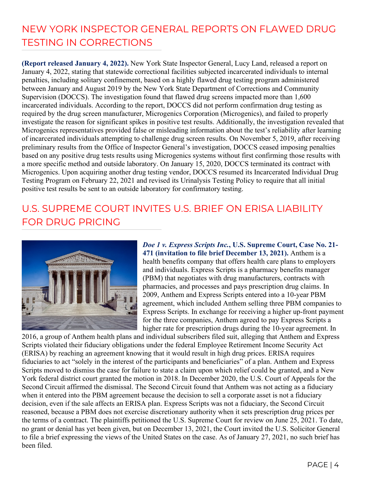#### NEW YORK INSPECTOR GENERAL REPORTS ON FLAWED DRUG TESTING IN CORRECTIONS

**(Report released January 4, 2022).** New York State Inspector General, Lucy Land, released a report on January 4, 2022, stating that statewide correctional facilities subjected incarcerated individuals to internal penalties, including solitary confinement, based on a highly flawed drug testing program administered between January and August 2019 by the New York State Department of Corrections and Community Supervision (DOCCS). The investigation found that flawed drug screens impacted more than 1,600 incarcerated individuals. According to the report, DOCCS did not perform confirmation drug testing as required by the drug screen manufacturer, Microgenics Corporation (Microgenics), and failed to properly investigate the reason for significant spikes in positive test results. Additionally, the investigation revealed that Microgenics representatives provided false or misleading information about the test's reliability after learning of incarcerated individuals attempting to challenge drug screen results. On November 5, 2019, after receiving preliminary results from the Office of Inspector General's investigation, DOCCS ceased imposing penalties based on any positive drug tests results using Microgenics systems without first confirming those results with a more specific method and outside laboratory. On January 15, 2020, DOCCS terminated its contract with Microgenics. Upon acquiring another drug testing vendor, DOCCS resumed its Incarcerated Individual Drug Testing Program on February 22, 2021 and revised its Urinalysis Testing Policy to require that all initial positive test results be sent to an outside laboratory for confirmatory testing.

#### U.S. SUPREME COURT INVITES U.S. BRIEF ON ERISA LIABILITY FOR DRUG PRICING



*Doe 1 v. Express Scripts Inc.***, U.S. Supreme Court, Case No. 21- 471 (invitation to file brief December 13, 2021).** Anthem is a health benefits company that offers health care plans to employers and individuals. Express Scripts is a pharmacy benefits manager (PBM) that negotiates with drug manufacturers, contracts with pharmacies, and processes and pays prescription drug claims. In 2009, Anthem and Express Scripts entered into a 10-year PBM agreement, which included Anthem selling three PBM companies to Express Scripts. In exchange for receiving a higher up-front payment for the three companies, Anthem agreed to pay Express Scripts a higher rate for prescription drugs during the 10-year agreement. In

2016, a group of Anthem health plans and individual subscribers filed suit, alleging that Anthem and Express Scripts violated their fiduciary obligations under the federal Employee Retirement Income Security Act (ERISA) by reaching an agreement knowing that it would result in high drug prices. ERISA requires fiduciaries to act "solely in the interest of the participants and beneficiaries" of a plan. Anthem and Express Scripts moved to dismiss the case for failure to state a claim upon which relief could be granted, and a New York federal district court granted the motion in 2018. In December 2020, the U.S. Court of Appeals for the Second Circuit affirmed the dismissal. The Second Circuit found that Anthem was not acting as a fiduciary when it entered into the PBM agreement because the decision to sell a corporate asset is not a fiduciary decision, even if the sale affects an ERISA plan. Express Scripts was not a fiduciary, the Second Circuit reasoned, because a PBM does not exercise discretionary authority when it sets prescription drug prices per the terms of a contract. The plaintiffs petitioned the U.S. Supreme Court for review on June 25, 2021. To date, no grant or denial has yet been given, but on December 13, 2021, the Court invited the U.S. Solicitor General to file a brief expressing the views of the United States on the case. As of January 27, 2021, no such brief has been filed.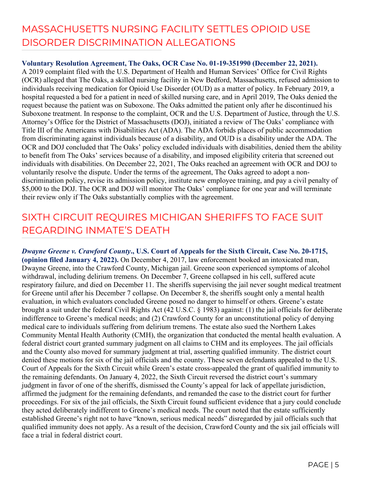#### MASSACHUSETTS NURSING FACILITY SETTLES OPIOID USE DISORDER DISCRIMINATION ALLEGATIONS

#### **Voluntary Resolution Agreement, The Oaks, OCR Case No. 01-19-351990 (December 22, 2021).**

A 2019 complaint filed with the U.S. Department of Health and Human Services' Office for Civil Rights (OCR) alleged that The Oaks, a skilled nursing facility in New Bedford, Massachusetts, refused admission to individuals receiving medication for Opioid Use Disorder (OUD) as a matter of policy. In February 2019, a hospital requested a bed for a patient in need of skilled nursing care, and in April 2019, The Oaks denied the request because the patient was on Suboxone. The Oaks admitted the patient only after he discontinued his Suboxone treatment. In response to the complaint, OCR and the U.S. Department of Justice, through the U.S. Attorney's Office for the District of Massachusetts (DOJ), initiated a review of The Oaks' compliance with Title III of the Americans with Disabilities Act (ADA). The ADA forbids places of public accommodation from discriminating against individuals because of a disability, and OUD is a disability under the ADA. The OCR and DOJ concluded that The Oaks' policy excluded individuals with disabilities, denied them the ability to benefit from The Oaks' services because of a disability, and imposed eligibility criteria that screened out individuals with disabilities. On December 22, 2021, The Oaks reached an agreement with OCR and DOJ to voluntarily resolve the dispute. Under the terms of the agreement, The Oaks agreed to adopt a nondiscrimination policy, revise its admission policy, institute new employee training, and pay a civil penalty of \$5,000 to the DOJ. The OCR and DOJ will monitor The Oaks' compliance for one year and will terminate their review only if The Oaks substantially complies with the agreement.

#### SIXTH CIRCUIT REQUIRES MICHIGAN SHERIFFS TO FACE SUIT REGARDING INMATE'S DEATH

*Dwayne Greene v. Crawford County***., U.S. Court of Appeals for the Sixth Circuit, Case No. 20-1715, (opinion filed January 4, 2022).** On December 4, 2017, law enforcement booked an intoxicated man, Dwayne Greene, into the Crawford County, Michigan jail. Greene soon experienced symptoms of alcohol withdrawal, including delirium tremens. On December 7, Greene collapsed in his cell, suffered acute respiratory failure, and died on December 11. The sheriffs supervising the jail never sought medical treatment for Greene until after his December 7 collapse. On December 8, the sheriffs sought only a mental health evaluation, in which evaluators concluded Greene posed no danger to himself or others. Greene's estate brought a suit under the federal Civil Rights Act (42 U.S.C. § 1983) against: (1) the jail officials for deliberate indifference to Greene's medical needs; and (2) Crawford County for an unconstitutional policy of denying medical care to individuals suffering from delirium tremens. The estate also sued the Northern Lakes Community Mental Health Authority (CMH), the organization that conducted the mental health evaluation. A federal district court granted summary judgment on all claims to CHM and its employees. The jail officials and the County also moved for summary judgment at trial, asserting qualified immunity. The district court denied these motions for six of the jail officials and the county. These seven defendants appealed to the U.S. Court of Appeals for the Sixth Circuit while Green's estate cross-appealed the grant of qualified immunity to the remaining defendants. On January 4, 2022, the Sixth Circuit reversed the district court's summary judgment in favor of one of the sheriffs, dismissed the County's appeal for lack of appellate jurisdiction, affirmed the judgment for the remaining defendants, and remanded the case to the district court for further proceedings. For six of the jail officials, the Sixth Circuit found sufficient evidence that a jury could conclude they acted deliberately indifferent to Greene's medical needs. The court noted that the estate sufficiently established Greene's right not to have "known, serious medical needs" disregarded by jail officials such that qualified immunity does not apply. As a result of the decision, Crawford County and the six jail officials will face a trial in federal district court.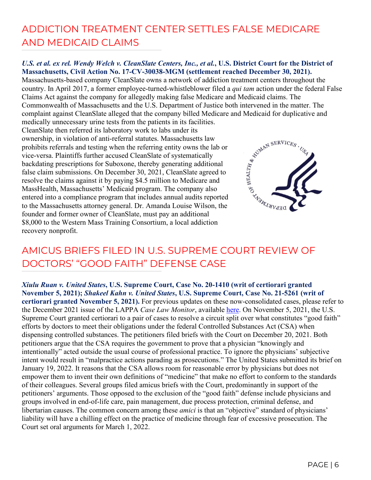# ADDICTION TREATMENT CENTER SETTLES FALSE MEDICARE AND MEDICAID CLAIMS

#### *U.S. et al. ex rel. Wendy Welch v. CleanSlate Centers, Inc., et al.***, U.S. District Court for the District of Massachusetts, Civil Action No. 17-CV-30038-MGM (settlement reached December 30, 2021).**

Massachusetts-based company CleanSlate owns a network of addiction treatment centers throughout the country. In April 2017, a former employee-turned-whistleblower filed a *qui tam* action under the federal False Claims Act against the company for allegedly making false Medicare and Medicaid claims. The Commonwealth of Massachusetts and the U.S. Department of Justice both intervened in the matter. The medically unnecessary urine tests from the patients in its facilities.

complaint against CleanSlate alleged that the company billed Medicare and Medicaid for duplicative and<br>medically unnecessary urine tests from the patients in its facilities.<br>CleanSlate then referred its laboratory work to CleanSlate then referred its laboratory work to labs under its ownership, in violation of anti-referral statutes. Massachusetts law prohibits referrals and testing when the referring entity owns the lab or vice-versa. Plaintiffs further accused CleanSlate of systematically backdating prescriptions for Suboxone, thereby generating additional false claim submissions. On December 30, 2021, CleanSlate agreed to resolve the claims against it by paying \$4.5 million to Medicare and MassHealth, Massachusetts' Medicaid program. The company also entered into a compliance program that includes annual audits reported to the Massachusetts attorney general. Dr. Amanda Louise Wilson, the founder and former owner of CleanSlate, must pay an additional \$8,000 to the Western Mass Training Consortium, a local addiction recovery nonprofit.



#### AMICUS BRIEFS FILED IN U.S. SUPREME COURT REVIEW OF DOCTORS' "GOOD FAITH" DEFENSE CASE

*Xiulu Ruan v. United States***, U.S. Supreme Court, Case No. 20-1410 (writ of certiorari granted November 5, 2021);** *Shakeel Kahn v. United States***, U.S. Supreme Court, Case No. 21-5261 (writ of certiorari granted November 5, 2021).** For previous updates on these now-consolidated cases, please refer to the December 2021 issue of the LAPPA *Case Law Monitor*, available [here.](http://legislativeanalysis.org/wp-content/uploads/2021/12/December-2021-CLM.pdf) On November 5, 2021, the U.S. Supreme Court granted certiorari to a pair of cases to resolve a circuit split over what constitutes "good faith" efforts by doctors to meet their obligations under the federal Controlled Substances Act (CSA) when dispensing controlled substances. The petitioners filed briefs with the Court on December 20, 2021. Both petitioners argue that the CSA requires the government to prove that a physician "knowingly and intentionally" acted outside the usual course of professional practice. To ignore the physicians' subjective intent would result in "malpractice actions parading as prosecutions." The United States submitted its brief on January 19, 2022. It reasons that the CSA allows room for reasonable error by physicians but does not empower them to invent their own definitions of "medicine" that make no effort to conform to the standards of their colleagues. Several groups filed amicus briefs with the Court, predominantly in support of the petitioners' arguments. Those opposed to the exclusion of the "good faith" defense include physicians and groups involved in end-of-life care, pain management, due process protection, criminal defense, and libertarian causes. The common concern among these *amici* is that an "objective" standard of physicians' liability will have a chilling effect on the practice of medicine through fear of excessive prosecution. The Court set oral arguments for March 1, 2022.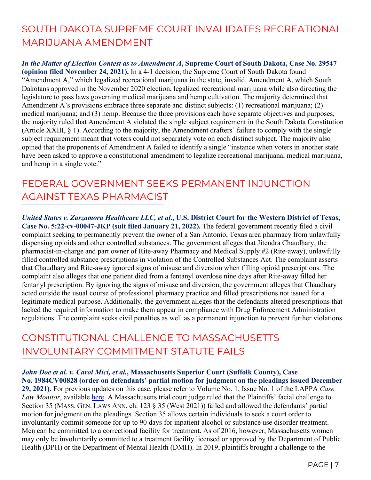# SOUTH DAKOTA SUPREME COURT INVALIDATES RECREATIONAL MARIJUANA AMENDMENT

*In the Matter of Election Contest as to Amendment A***, Supreme Court of South Dakota, Case No. 29547 (opinion filed November 24, 2021).** In a 4-1 decision, the Supreme Court of South Dakota found "Amendment A," which legalized recreational marijuana in the state, invalid. Amendment A, which South Dakotans approved in the November 2020 election, legalized recreational marijuana while also directing the legislature to pass laws governing medical marijuana and hemp cultivation. The majority determined that Amendment A's provisions embrace three separate and distinct subjects: (1) recreational marijuana; (2) medical marijuana; and (3) hemp. Because the three provisions each have separate objectives and purposes, the majority ruled that Amendment A violated the single subject requirement in the South Dakota Constitution (Article XXIII, § 1). According to the majority, the Amendment drafters' failure to comply with the single subject requirement meant that voters could not separately vote on each distinct subject. The majority also opined that the proponents of Amendment A failed to identify a single "instance when voters in another state have been asked to approve a constitutional amendment to legalize recreational marijuana, medical marijuana, and hemp in a single vote."

# FEDERAL GOVERNMENT SEEKS PERMANENT INJUNCTION AGAINST TEXAS PHARMACIST

*United States v. Zarzamora Healthcare LLC, et al***., U.S. District Court for the Western District of Texas, Case No. 5:22-cv-00047-JKP (suit filed January 21, 2022).** The federal government recently filed a civil complaint seeking to permanently prevent the owner of a San Antonio, Texas area pharmacy from unlawfully dispensing opioids and other controlled substances. The government alleges that Jitendra Chaudhary, the pharmacist-in-charge and part owner of Rite-away Pharmacy and Medical Supply #2 (Rite-away), unlawfully filled controlled substance prescriptions in violation of the Controlled Substances Act. The complaint asserts that Chaudhary and Rite-away ignored signs of misuse and diversion when filling opioid prescriptions. The complaint also alleges that one patient died from a fentanyl overdose nine days after Rite-away filled her fentanyl prescription. By ignoring the signs of misuse and diversion, the government alleges that Chaudhary acted outside the usual course of professional pharmacy practice and filled prescriptions not issued for a legitimate medical purpose. Additionally, the government alleges that the defendants altered prescriptions that lacked the required information to make them appear in compliance with Drug Enforcement Administration regulations. The complaint seeks civil penalties as well as a permanent injunction to prevent further violations.

#### CONSTITUTIONAL CHALLENGE TO MASSACHUSETTS INVOLUNTARY COMMITMENT STATUTE FAILS

*John Doe et al. v. Carol Mici, et al.***, Massachusetts Superior Court (Suffolk County), Case No. 1984CV00828 (order on defendants' partial motion for judgment on the pleadings issued December 29, 2021).** For previous updates on this case, please refer to Volume No. 1, Issue No. 1 of the LAPPA *Case Law Monitor*, available *here*. A Massachusetts trial court judge ruled that the Plaintiffs' facial challenge to Section 35 (MASS. GEN. LAWS ANN. ch. 123 § 35 (West 2021)) failed and allowed the defendants' partial motion for judgment on the pleadings. Section 35 allows certain individuals to seek a court order to involuntarily commit someone for up to 90 days for inpatient alcohol or substance use disorder treatment. Men can be committed to a correctional facility for treatment. As of 2016, however, Massachusetts women may only be involuntarily committed to a treatment facility licensed or approved by the Department of Public Health (DPH) or the Department of Mental Health (DMH). In 2019, plaintiffs brought a challenge to the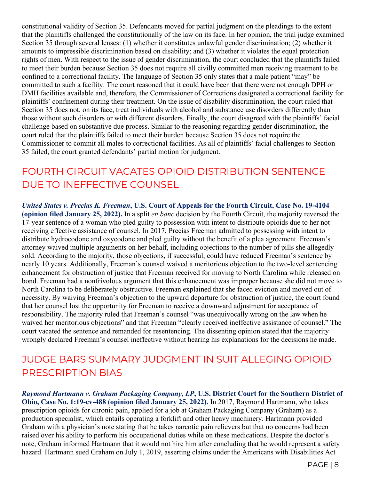constitutional validity of Section 35. Defendants moved for partial judgment on the pleadings to the extent that the plaintiffs challenged the constitutionally of the law on its face. In her opinion, the trial judge examined Section 35 through several lenses: (1) whether it constitutes unlawful gender discrimination; (2) whether it amounts to impressible discrimination based on disability; and (3) whether it violates the equal protection rights of men. With respect to the issue of gender discrimination, the court concluded that the plaintiffs failed to meet their burden because Section 35 does not require all civilly committed men receiving treatment to be confined to a correctional facility. The language of Section 35 only states that a male patient "may" be committed to such a facility. The court reasoned that it could have been that there were not enough DPH or DMH facilities available and, therefore, the Commissioner of Corrections designated a correctional facility for plaintiffs' confinement during their treatment. On the issue of disability discrimination, the court ruled that Section 35 does not, on its face, treat individuals with alcohol and substance use disorders differently than those without such disorders or with different disorders. Finally, the court disagreed with the plaintiffs' facial challenge based on substantive due process. Similar to the reasoning regarding gender discrimination, the court ruled that the plaintiffs failed to meet their burden because Section 35 does not require the Commissioner to commit all males to correctional facilities. As all of plaintiffs' facial challenges to Section 35 failed, the court granted defendants' partial motion for judgment.

#### FOURTH CIRCUIT VACATES OPIOID DISTRIBUTION SENTENCE DUE TO INEFFECTIVE COUNSEL

*United States v. Precias K. Freeman***, U.S. Court of Appeals for the Fourth Circuit, Case No. 19-4104 (opinion filed January 25, 2022).** In a split *en banc* decision by the Fourth Circuit, the majority reversed the 17-year sentence of a woman who pled guilty to possession with intent to distribute opioids due to her not receiving effective assistance of counsel. In 2017, Precias Freeman admitted to possessing with intent to distribute hydrocodone and oxycodone and pled guilty without the benefit of a plea agreement. Freeman's attorney waived multiple arguments on her behalf, including objections to the number of pills she allegedly sold. According to the majority, those objections, if successful, could have reduced Freeman's sentence by nearly 10 years. Additionally, Freeman's counsel waived a meritorious objection to the two-level sentencing enhancement for obstruction of justice that Freeman received for moving to North Carolina while released on bond. Freeman had a nonfrivolous argument that this enhancement was improper because she did not move to North Carolina to be deliberately obstructive. Freeman explained that she faced eviction and moved out of necessity. By waiving Freeman's objection to the upward departure for obstruction of justice, the court found that her counsel lost the opportunity for Freeman to receive a downward adjustment for acceptance of responsibility. The majority ruled that Freeman's counsel "was unequivocally wrong on the law when he waived her meritorious objections" and that Freeman "clearly received ineffective assistance of counsel." The court vacated the sentence and remanded for resentencing. The dissenting opinion stated that the majority wrongly declared Freeman's counsel ineffective without hearing his explanations for the decisions he made.

#### JUDGE BARS SUMMARY JUDGMENT IN SUIT ALLEGING OPIOID PRESCRIPTION BIAS

*Raymond Hartmann v. Graham Packaging Company, LP***, U.S. District Court for the Southern District of Ohio, Case No. 1:19-cv-488 (opinion filed January 25, 2022).** In 2017, Raymond Hartmann, who takes prescription opioids for chronic pain, applied for a job at Graham Packaging Company (Graham) as a production specialist, which entails operating a forklift and other heavy machinery. Hartmann provided Graham with a physician's note stating that he takes narcotic pain relievers but that no concerns had been raised over his ability to perform his occupational duties while on these medications. Despite the doctor's note, Graham informed Hartmann that it would not hire him after concluding that he would represent a safety hazard. Hartmann sued Graham on July 1, 2019, asserting claims under the Americans with Disabilities Act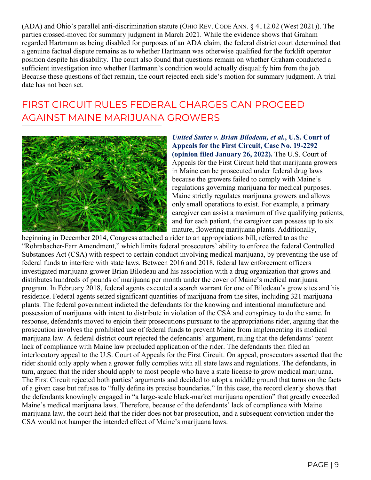(ADA) and Ohio's parallel anti-discrimination statute (OHIO REV. CODE ANN. § 4112.02 (West 2021)). The parties crossed-moved for summary judgment in March 2021. While the evidence shows that Graham regarded Hartmann as being disabled for purposes of an ADA claim, the federal district court determined that a genuine factual dispute remains as to whether Hartmann was otherwise qualified for the forklift operator position despite his disability. The court also found that questions remain on whether Graham conducted a sufficient investigation into whether Hartmann's condition would actually disqualify him from the job. Because these questions of fact remain, the court rejected each side's motion for summary judgment. A trial date has not been set.

#### FIRST CIRCUIT RULES FEDERAL CHARGES CAN PROCEED AGAINST MAINE MARIJUANA GROWERS



*United States v. Brian Bilodeau, et al.***, U.S. Court of Appeals for the First Circuit, Case No. 19-2292 (opinion filed January 26, 2022).** The U.S. Court of Appeals for the First Circuit held that marijuana growers in Maine can be prosecuted under federal drug laws because the growers failed to comply with Maine's regulations governing marijuana for medical purposes. Maine strictly regulates marijuana growers and allows only small operations to exist. For example, a primary caregiver can assist a maximum of five qualifying patients, and for each patient, the caregiver can possess up to six mature, flowering marijuana plants. Additionally,

beginning in December 2014, Congress attached a rider to an appropriations bill, referred to as the "Rohrabacher-Farr Amendment," which limits federal prosecutors' ability to enforce the federal Controlled Substances Act (CSA) with respect to certain conduct involving medical marijuana, by preventing the use of federal funds to interfere with state laws. Between 2016 and 2018, federal law enforcement officers investigated marijuana grower Brian Bilodeau and his association with a drug organization that grows and distributes hundreds of pounds of marijuana per month under the cover of Maine's medical marijuana program. In February 2018, federal agents executed a search warrant for one of Bilodeau's grow sites and his residence. Federal agents seized significant quantities of marijuana from the sites, including 321 marijuana plants. The federal government indicted the defendants for the knowing and intentional manufacture and possession of marijuana with intent to distribute in violation of the CSA and conspiracy to do the same. In response, defendants moved to enjoin their prosecutions pursuant to the appropriations rider, arguing that the prosecution involves the prohibited use of federal funds to prevent Maine from implementing its medical marijuana law. A federal district court rejected the defendants' argument, ruling that the defendants' patent lack of compliance with Maine law precluded application of the rider. The defendants then filed an interlocutory appeal to the U.S. Court of Appeals for the First Circuit. On appeal, prosecutors asserted that the rider should only apply when a grower fully complies with all state laws and regulations. The defendants, in turn, argued that the rider should apply to most people who have a state license to grow medical marijuana. The First Circuit rejected both parties' arguments and decided to adopt a middle ground that turns on the facts of a given case but refuses to "fully define its precise boundaries." In this case, the record clearly shows that the defendants knowingly engaged in "a large-scale black-market marijuana operation" that greatly exceeded Maine's medical marijuana laws. Therefore, because of the defendants' lack of compliance with Maine marijuana law, the court held that the rider does not bar prosecution, and a subsequent conviction under the CSA would not hamper the intended effect of Maine's marijuana laws.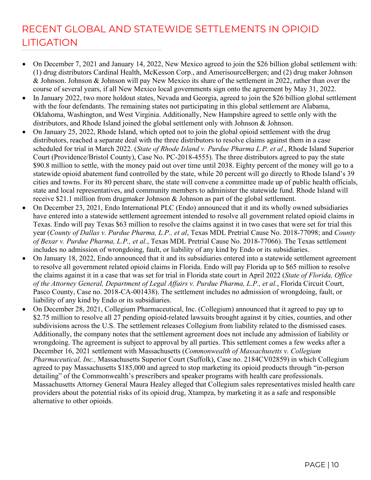### RECENT GLOBAL AND STATEWIDE SETTLEMENTS IN OPIOID **LITIGATION**

- On December 7, 2021 and January 14, 2022, New Mexico agreed to join the \$26 billion global settlement with: (1) drug distributors Cardinal Health, McKesson Corp., and AmerisourceBergen; and (2) drug maker Johnson & Johnson. Johnson & Johnson will pay New Mexico its share of the settlement in 2022, rather than over the course of several years, if all New Mexico local governments sign onto the agreement by May 31, 2022.
- In January 2022, two more holdout states, Nevada and Georgia, agreed to join the \$26 billion global settlement with the four defendants. The remaining states not participating in this global settlement are Alabama, Oklahoma, Washington, and West Virginia. Additionally, New Hampshire agreed to settle only with the distributors, and Rhode Island joined the global settlement only with Johnson & Johnson.
- On January 25, 2022, Rhode Island, which opted not to join the global opioid settlement with the drug distributors, reached a separate deal with the three distributors to resolve claims against them in a case scheduled for trial in March 2022. (*State of Rhode Island v. Purdue Pharma L.P. et al.*, Rhode Island Superior Court (Providence/Bristol County), Case No. PC-2018-4555). The three distributors agreed to pay the state \$90.8 million to settle, with the money paid out over time until 2038. Eighty percent of the money will go to a statewide opioid abatement fund controlled by the state, while 20 percent will go directly to Rhode Island's 39 cities and towns. For its 80 percent share, the state will convene a committee made up of public health officials, state and local representatives, and community members to administer the statewide fund. Rhode Island will receive \$21.1 million from drugmaker Johnson & Johnson as part of the global settlement.
- On December 23, 2021, Endo International PLC (Endo) announced that it and its wholly owned subsidiaries have entered into a statewide settlement agreement intended to resolve all government related opioid claims in Texas. Endo will pay Texas \$63 million to resolve the claims against it in two cases that were set for trial this year (*County of Dallas v. Purdue Pharma, L.P., et al*, Texas MDL Pretrial Cause No. 2018-77098; and *County of Bexar v. Purdue Pharma, L.P., et al.*, Texas MDL Pretrial Cause No. 2018-77066). The Texas settlement includes no admission of wrongdoing, fault, or liability of any kind by Endo or its subsidiaries.
- On January 18, 2022, Endo announced that it and its subsidiaries entered into a statewide settlement agreement to resolve all government related opioid claims in Florida. Endo will pay Florida up to \$65 million to resolve the claims against it in a case that was set for trial in Florida state court in April 2022 (*State of Florida, Office of the Attorney General, Department of Legal Affairs v. Purdue Pharma, L.P., et al.*, Florida Circuit Court, Pasco County, Case no. 2018-CA-001438). The settlement includes no admission of wrongdoing, fault, or liability of any kind by Endo or its subsidiaries.
- On December 28, 2021, Collegium Pharmaceutical, Inc. (Collegium) announced that it agreed to pay up to \$2.75 million to resolve all 27 pending opioid-related lawsuits brought against it by cities, counties, and other subdivisions across the U.S. The settlement releases Collegium from liability related to the dismissed cases. Additionally, the company notes that the settlement agreement does not include any admission of liability or wrongdoing. The agreement is subject to approval by all parties. This settlement comes a few weeks after a December 16, 2021 settlement with Massachusetts (*Commonwealth of Massachusetts v. Collegium Pharmaceutical, Inc.,* Massachusetts Superior Court (Suffolk), Case no. 2184CV02859) in which Collegium agreed to pay Massachusetts \$185,000 and agreed to stop marketing its opioid products through "in-person detailing" of the Commonwealth's prescribers and speaker programs with health care professionals. Massachusetts Attorney General Maura Healey alleged that Collegium sales representatives misled health care providers about the potential risks of its opioid drug, Xtampza, by marketing it as a safe and responsible alternative to other opioids.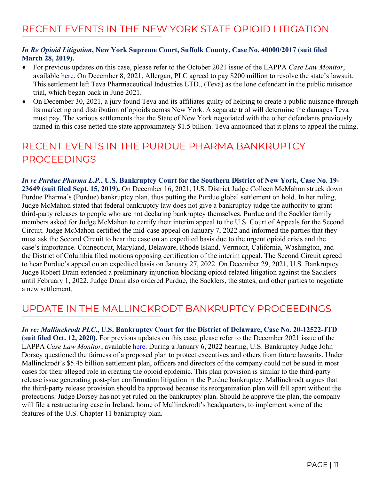#### RECENT EVENTS IN THE NEW YORK STATE OPIOID LITIGATION

#### *In Re Opioid Litigation***, New York Supreme Court, Suffolk County, Case No. 40000/2017 (suit filed March 28, 2019).**

- For previous updates on this case, please refer to the October 2021 issue of the LAPPA *Case Law Monitor*, available [here.](http://legislativeanalysis.org/wp-content/uploads/2022/01/October-2021-Case-Law-Monitor-FINAL.pdf) On December 8, 2021, Allergan, PLC agreed to pay \$200 million to resolve the state's lawsuit. This settlement left Teva Pharmaceutical Industries LTD., (Teva) as the lone defendant in the public nuisance trial, which began back in June 2021.
- On December 30, 2021, a jury found Teva and its affiliates guilty of helping to create a public nuisance through its marketing and distribution of opioids across New York. A separate trial will determine the damages Teva must pay. The various settlements that the State of New York negotiated with the other defendants previously named in this case netted the state approximately \$1.5 billion. Teva announced that it plans to appeal the ruling.

#### RECENT EVENTS IN THE PURDUE PHARMA BANKRUPTCY PROCEEDINGS

*In re Purdue Pharma L.P.***, U.S. Bankruptcy Court for the Southern District of New York, Case No. 19- 23649 (suit filed Sept. 15, 2019).** On December 16, 2021, U.S. District Judge Colleen McMahon struck down Purdue Pharma's (Purdue) bankruptcy plan, thus putting the Purdue global settlement on hold. In her ruling, Judge McMahon stated that federal bankruptcy law does not give a bankruptcy judge the authority to grant third-party releases to people who are not declaring bankruptcy themselves. Purdue and the Sackler family members asked for Judge McMahon to certify their interim appeal to the U.S. Court of Appeals for the Second Circuit. Judge McMahon certified the mid-case appeal on January 7, 2022 and informed the parties that they must ask the Second Circuit to hear the case on an expedited basis due to the urgent opioid crisis and the case's importance. Connecticut, Maryland, Delaware, Rhode Island, Vermont, California, Washington, and the District of Columbia filed motions opposing certification of the interim appeal. The Second Circuit agreed to hear Purdue's appeal on an expedited basis on January 27, 2022. On December 29, 2021, U.S. Bankruptcy Judge Robert Drain extended a preliminary injunction blocking opioid-related litigation against the Sacklers until February 1, 2022. Judge Drain also ordered Purdue, the Sacklers, the states, and other parties to negotiate a new settlement.

#### UPDATE IN THE MALLINCKRODT BANKRUPTCY PROCEEDINGS

*In re: Mallinckrodt PLC***., U.S. Bankruptcy Court for the District of Delaware, Case No. 20-12522-JTD (suit filed Oct. 12, 2020).** For previous updates on this case, please refer to the December 2021 issue of the LAPPA *Case Law Monitor*, available *here*. During a January 6, 2022 hearing, U.S. Bankruptcy Judge John Dorsey questioned the fairness of a proposed plan to protect executives and others from future lawsuits. Under Mallinckrodt's \$5.45 billion settlement plan, officers and directors of the company could not be sued in most cases for their alleged role in creating the opioid epidemic. This plan provision is similar to the third-party release issue generating post-plan confirmation litigation in the Purdue bankruptcy. Mallinckrodt argues that the third-party release provision should be approved because its reorganization plan will fall apart without the protections. Judge Dorsey has not yet ruled on the bankruptcy plan. Should he approve the plan, the company will file a restructuring case in Ireland, home of Mallinckrodt's headquarters, to implement some of the features of the U.S. Chapter 11 bankruptcy plan.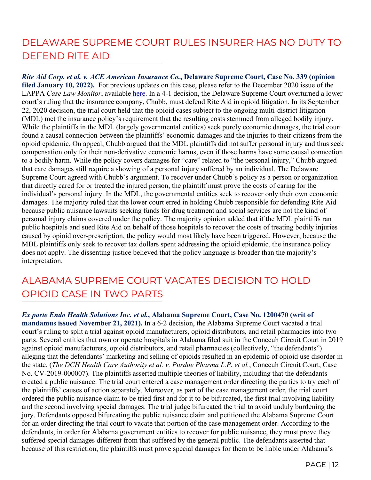# DELAWARE SUPREME COURT RULES INSURER HAS NO DUTY TO DEFEND RITE AID

*Rite Aid Corp. et al. v. ACE American Insurance Co.***, Delaware Supreme Court, Case No. 339 (opinion filed January 10, 2022).** For previous updates on this case, please refer to the December 2020 issue of the LAPPA *Case Law Monitor*, available [here.](http://legislativeanalysis.org/wp-content/uploads/2020/12/December-2020-Case-Law-Monitor.pdf) In a 4-1 decision, the Delaware Supreme Court overturned a lower court's ruling that the insurance company, Chubb, must defend Rite Aid in opioid litigation. In its September 22, 2020 decision, the trial court held that the opioid cases subject to the ongoing multi-district litigation (MDL) met the insurance policy's requirement that the resulting costs stemmed from alleged bodily injury. While the plaintiffs in the MDL (largely governmental entities) seek purely economic damages, the trial court found a causal connection between the plaintiffs' economic damages and the injuries to their citizens from the opioid epidemic. On appeal, Chubb argued that the MDL plaintiffs did not suffer personal injury and thus seek compensation only for their non-derivative economic harms, even if those harms have some causal connection to a bodily harm. While the policy covers damages for "care" related to "the personal injury," Chubb argued that care damages still require a showing of a personal injury suffered by an individual. The Delaware Supreme Court agreed with Chubb's argument. To recover under Chubb's policy as a person or organization that directly cared for or treated the injured person, the plaintiff must prove the costs of caring for the individual's personal injury. In the MDL, the governmental entities seek to recover only their own economic damages. The majority ruled that the lower court erred in holding Chubb responsible for defending Rite Aid because public nuisance lawsuits seeking funds for drug treatment and social services are not the kind of personal injury claims covered under the policy. The majority opinion added that if the MDL plaintiffs ran public hospitals and sued Rite Aid on behalf of those hospitals to recover the costs of treating bodily injuries caused by opioid over-prescription, the policy would most likely have been triggered. However, because the MDL plaintiffs only seek to recover tax dollars spent addressing the opioid epidemic, the insurance policy does not apply. The dissenting justice believed that the policy language is broader than the majority's interpretation.

#### ALABAMA SUPREME COURT VACATES DECISION TO HOLD OPIOID CASE IN TWO PARTS

*Ex parte Endo Health Solutions Inc. et al.***, Alabama Supreme Court, Case No. 1200470 (writ of mandamus issued November 21, 2021).** In a 6-2 decision, the Alabama Supreme Court vacated a trial court's ruling to split a trial against opioid manufacturers, opioid distributors, and retail pharmacies into two parts. Several entities that own or operate hospitals in Alabama filed suit in the Conecuh Circuit Court in 2019 against opioid manufacturers, opioid distributors, and retail pharmacies (collectively, "the defendants") alleging that the defendants' marketing and selling of opioids resulted in an epidemic of opioid use disorder in the state. (*The DCH Health Care Authority et al. v. Purdue Pharma L.P. et al.*, Conecuh Circuit Court, Case No. CV-2019-000007). The plaintiffs asserted multiple theories of liability, including that the defendants created a public nuisance. The trial court entered a case management order directing the parties to try each of the plaintiffs' causes of action separately. Moreover, as part of the case management order, the trial court ordered the public nuisance claim to be tried first and for it to be bifurcated, the first trial involving liability and the second involving special damages. The trial judge bifurcated the trial to avoid unduly burdening the jury. Defendants opposed bifurcating the public nuisance claim and petitioned the Alabama Supreme Court for an order directing the trial court to vacate that portion of the case management order. According to the defendants, in order for Alabama government entities to recover for public nuisance, they must prove they suffered special damages different from that suffered by the general public. The defendants asserted that because of this restriction, the plaintiffs must prove special damages for them to be liable under Alabama's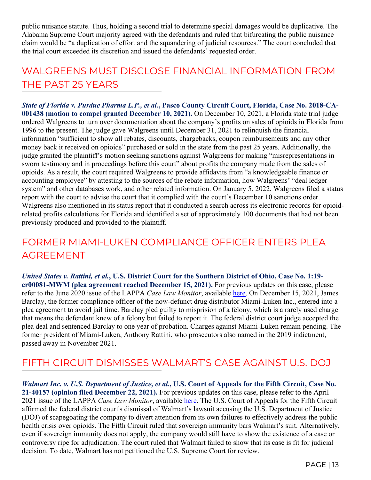public nuisance statute. Thus, holding a second trial to determine special damages would be duplicative. The Alabama Supreme Court majority agreed with the defendants and ruled that bifurcating the public nuisance claim would be "a duplication of effort and the squandering of judicial resources." The court concluded that the trial court exceeded its discretion and issued the defendants' requested order.

#### WALGREENS MUST DISCLOSE FINANCIAL INFORMATION FROM THE PAST 25 YEARS

*State of Florida v. Purdue Pharma L.P., et al.***, Pasco County Circuit Court, Florida, Case No. 2018-CA-001438 (motion to compel granted December 10, 2021).** On December 10, 2021, a Florida state trial judge ordered Walgreens to turn over documentation about the company's profits on sales of opioids in Florida from 1996 to the present. The judge gave Walgreens until December 31, 2021 to relinquish the financial information "sufficient to show all rebates, discounts, chargebacks, coupon reimbursements and any other money back it received on opioids" purchased or sold in the state from the past 25 years. Additionally, the judge granted the plaintiff's motion seeking sanctions against Walgreens for making "misrepresentations in sworn testimony and in proceedings before this court" about profits the company made from the sales of opioids. As a result, the court required Walgreens to provide affidavits from "a knowledgeable finance or accounting employee" by attesting to the sources of the rebate information, how Walgreens' "deal ledger system" and other databases work, and other related information. On January 5, 2022, Walgreens filed a status report with the court to advise the court that it complied with the court's December 10 sanctions order. Walgreens also mentioned in its status report that it conducted a search across its electronic records for opioidrelated profits calculations for Florida and identified a set of approximately 100 documents that had not been previously produced and provided to the plaintiff.

#### FORMER MIAMI-LUKEN COMPLIANCE OFFICER ENTERS PLEA AGREEMENT

*United States v. Rattini, et al.***, U.S. District Court for the Southern District of Ohio, Case No. 1:19 cr00081-MWM (plea agreement reached December 15, 2021).** For previous updates on this case, please refer to the June 2020 issue of the LAPPA *Case Law Monitor*, available [here.](http://legislativeanalysis.org/wp-content/uploads/2020/06/June-2020-Case-Law-Monitor.pdf) On December 15, 2021, James Barclay, the former compliance officer of the now-defunct drug distributor Miami-Luken Inc., entered into a plea agreement to avoid jail time. Barclay pled guilty to misprision of a felony, which is a rarely used charge that means the defendant knew of a felony but failed to report it. The federal district court judge accepted the plea deal and sentenced Barclay to one year of probation. Charges against Miami-Luken remain pending. The former president of Miami-Luken, Anthony Rattini, who prosecutors also named in the 2019 indictment, passed away in November 2021.

#### FIFTH CIRCUIT DISMISSES WALMART'S CASE AGAINST U.S. DOJ

*Walmart Inc. v. U.S. Department of Justice, et al.***, U.S. Court of Appeals for the Fifth Circuit, Case No. 21-40157 (opinion filed December 22, 2021).** For previous updates on this case, please refer to the April 2021 issue of the LAPPA *Case Law Monitor*, available [here.](http://legislativeanalysis.org/wp-content/uploads/2021/04/April-2021-Case-Law-Monitor-FINAL.pdf) The U.S. Court of Appeals for the Fifth Circuit affirmed the federal district court's dismissal of Walmart's lawsuit accusing the U.S. Department of Justice (DOJ) of scapegoating the company to divert attention from its own failures to effectively address the public health crisis over opioids. The Fifth Circuit ruled that sovereign immunity bars Walmart's suit. Alternatively, even if sovereign immunity does not apply, the company would still have to show the existence of a case or controversy ripe for adjudication. The court ruled that Walmart failed to show that its case is fit for judicial decision. To date, Walmart has not petitioned the U.S. Supreme Court for review.